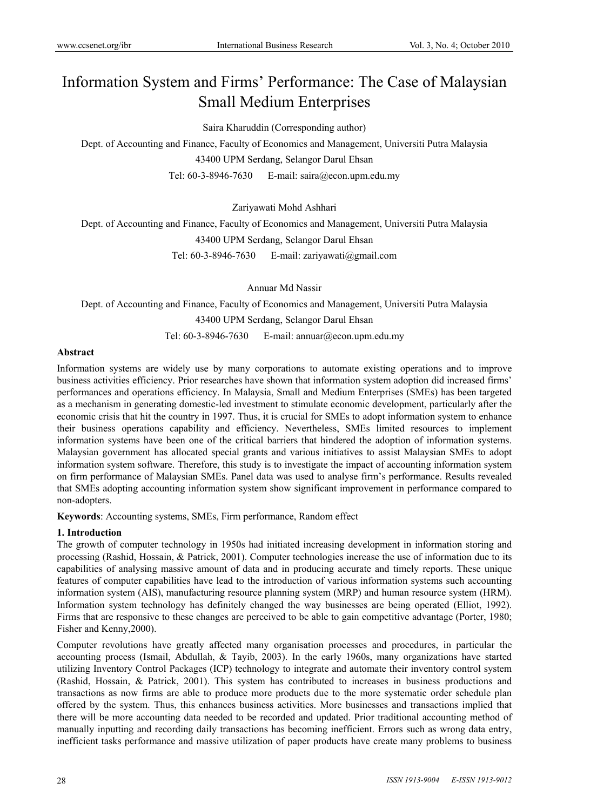# Information System and Firms' Performance: The Case of Malaysian Small Medium Enterprises

Saira Kharuddin (Corresponding author)

Dept. of Accounting and Finance, Faculty of Economics and Management, Universiti Putra Malaysia 43400 UPM Serdang, Selangor Darul Ehsan Tel: 60-3-8946-7630 E-mail: saira@econ.upm.edu.my

Zariyawati Mohd Ashhari

Dept. of Accounting and Finance, Faculty of Economics and Management, Universiti Putra Malaysia 43400 UPM Serdang, Selangor Darul Ehsan Tel: 60-3-8946-7630 E-mail: zariyawati@gmail.com

Annuar Md Nassir

Dept. of Accounting and Finance, Faculty of Economics and Management, Universiti Putra Malaysia

43400 UPM Serdang, Selangor Darul Ehsan

Tel: 60-3-8946-7630 E-mail: annuar@econ.upm.edu.my

# **Abstract**

Information systems are widely use by many corporations to automate existing operations and to improve business activities efficiency. Prior researches have shown that information system adoption did increased firms' performances and operations efficiency. In Malaysia, Small and Medium Enterprises (SMEs) has been targeted as a mechanism in generating domestic-led investment to stimulate economic development, particularly after the economic crisis that hit the country in 1997. Thus, it is crucial for SMEs to adopt information system to enhance their business operations capability and efficiency. Nevertheless, SMEs limited resources to implement information systems have been one of the critical barriers that hindered the adoption of information systems. Malaysian government has allocated special grants and various initiatives to assist Malaysian SMEs to adopt information system software. Therefore, this study is to investigate the impact of accounting information system on firm performance of Malaysian SMEs. Panel data was used to analyse firm's performance. Results revealed that SMEs adopting accounting information system show significant improvement in performance compared to non-adopters.

**Keywords**: Accounting systems, SMEs, Firm performance, Random effect

# **1. Introduction**

The growth of computer technology in 1950s had initiated increasing development in information storing and processing (Rashid, Hossain, & Patrick, 2001). Computer technologies increase the use of information due to its capabilities of analysing massive amount of data and in producing accurate and timely reports. These unique features of computer capabilities have lead to the introduction of various information systems such accounting information system (AIS), manufacturing resource planning system (MRP) and human resource system (HRM). Information system technology has definitely changed the way businesses are being operated (Elliot, 1992). Firms that are responsive to these changes are perceived to be able to gain competitive advantage (Porter, 1980; Fisher and Kenny,2000).

Computer revolutions have greatly affected many organisation processes and procedures, in particular the accounting process (Ismail, Abdullah, & Tayib, 2003). In the early 1960s, many organizations have started utilizing Inventory Control Packages (ICP) technology to integrate and automate their inventory control system (Rashid, Hossain, & Patrick, 2001). This system has contributed to increases in business productions and transactions as now firms are able to produce more products due to the more systematic order schedule plan offered by the system. Thus, this enhances business activities. More businesses and transactions implied that there will be more accounting data needed to be recorded and updated. Prior traditional accounting method of manually inputting and recording daily transactions has becoming inefficient. Errors such as wrong data entry, inefficient tasks performance and massive utilization of paper products have create many problems to business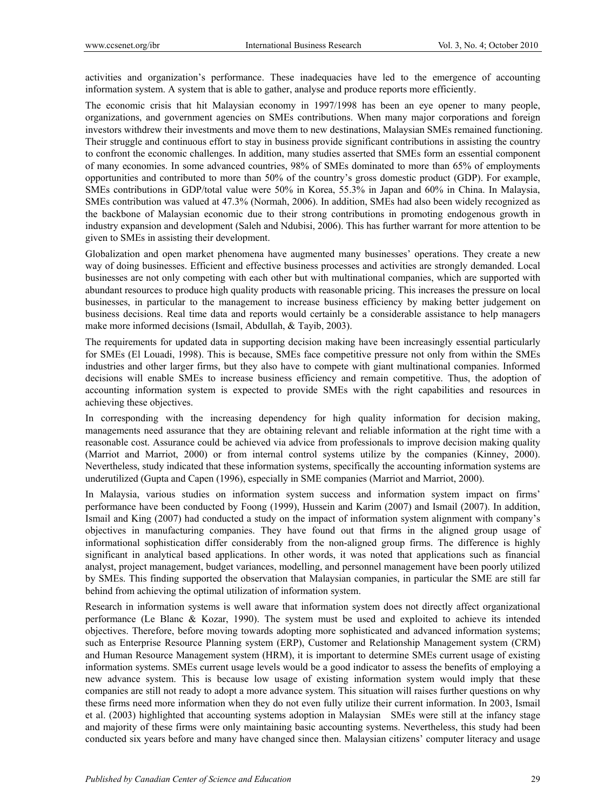activities and organization's performance. These inadequacies have led to the emergence of accounting information system. A system that is able to gather, analyse and produce reports more efficiently.

The economic crisis that hit Malaysian economy in 1997/1998 has been an eye opener to many people, organizations, and government agencies on SMEs contributions. When many major corporations and foreign investors withdrew their investments and move them to new destinations, Malaysian SMEs remained functioning. Their struggle and continuous effort to stay in business provide significant contributions in assisting the country to confront the economic challenges. In addition, many studies asserted that SMEs form an essential component of many economies. In some advanced countries, 98% of SMEs dominated to more than 65% of employments opportunities and contributed to more than 50% of the country's gross domestic product (GDP). For example, SMEs contributions in GDP/total value were 50% in Korea, 55.3% in Japan and 60% in China. In Malaysia, SMEs contribution was valued at 47.3% (Normah, 2006). In addition, SMEs had also been widely recognized as the backbone of Malaysian economic due to their strong contributions in promoting endogenous growth in industry expansion and development (Saleh and Ndubisi, 2006). This has further warrant for more attention to be given to SMEs in assisting their development.

Globalization and open market phenomena have augmented many businesses' operations. They create a new way of doing businesses. Efficient and effective business processes and activities are strongly demanded. Local businesses are not only competing with each other but with multinational companies, which are supported with abundant resources to produce high quality products with reasonable pricing. This increases the pressure on local businesses, in particular to the management to increase business efficiency by making better judgement on business decisions. Real time data and reports would certainly be a considerable assistance to help managers make more informed decisions (Ismail, Abdullah, & Tayib, 2003).

The requirements for updated data in supporting decision making have been increasingly essential particularly for SMEs (El Louadi, 1998). This is because, SMEs face competitive pressure not only from within the SMEs industries and other larger firms, but they also have to compete with giant multinational companies. Informed decisions will enable SMEs to increase business efficiency and remain competitive. Thus, the adoption of accounting information system is expected to provide SMEs with the right capabilities and resources in achieving these objectives.

In corresponding with the increasing dependency for high quality information for decision making, managements need assurance that they are obtaining relevant and reliable information at the right time with a reasonable cost. Assurance could be achieved via advice from professionals to improve decision making quality (Marriot and Marriot, 2000) or from internal control systems utilize by the companies (Kinney, 2000). Nevertheless, study indicated that these information systems, specifically the accounting information systems are underutilized (Gupta and Capen (1996), especially in SME companies (Marriot and Marriot, 2000).

In Malaysia, various studies on information system success and information system impact on firms' performance have been conducted by Foong (1999), Hussein and Karim (2007) and Ismail (2007). In addition, Ismail and King (2007) had conducted a study on the impact of information system alignment with company's objectives in manufacturing companies. They have found out that firms in the aligned group usage of informational sophistication differ considerably from the non-aligned group firms. The difference is highly significant in analytical based applications. In other words, it was noted that applications such as financial analyst, project management, budget variances, modelling, and personnel management have been poorly utilized by SMEs. This finding supported the observation that Malaysian companies, in particular the SME are still far behind from achieving the optimal utilization of information system.

Research in information systems is well aware that information system does not directly affect organizational performance (Le Blanc & Kozar, 1990). The system must be used and exploited to achieve its intended objectives. Therefore, before moving towards adopting more sophisticated and advanced information systems; such as Enterprise Resource Planning system (ERP), Customer and Relationship Management system (CRM) and Human Resource Management system (HRM), it is important to determine SMEs current usage of existing information systems. SMEs current usage levels would be a good indicator to assess the benefits of employing a new advance system. This is because low usage of existing information system would imply that these companies are still not ready to adopt a more advance system. This situation will raises further questions on why these firms need more information when they do not even fully utilize their current information. In 2003, Ismail et al. (2003) highlighted that accounting systems adoption in Malaysian SMEs were still at the infancy stage and majority of these firms were only maintaining basic accounting systems. Nevertheless, this study had been conducted six years before and many have changed since then. Malaysian citizens' computer literacy and usage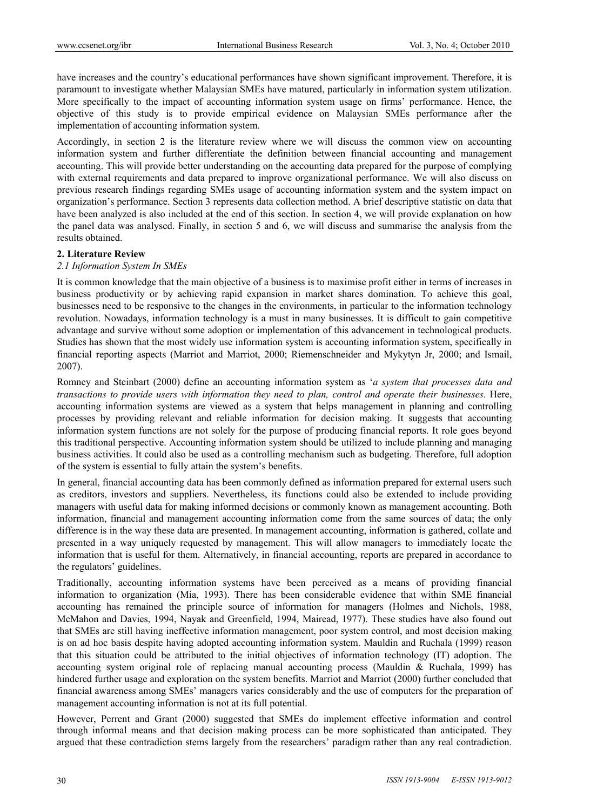have increases and the country's educational performances have shown significant improvement. Therefore, it is paramount to investigate whether Malaysian SMEs have matured, particularly in information system utilization. More specifically to the impact of accounting information system usage on firms' performance. Hence, the objective of this study is to provide empirical evidence on Malaysian SMEs performance after the implementation of accounting information system.

Accordingly, in section 2 is the literature review where we will discuss the common view on accounting information system and further differentiate the definition between financial accounting and management accounting. This will provide better understanding on the accounting data prepared for the purpose of complying with external requirements and data prepared to improve organizational performance. We will also discuss on previous research findings regarding SMEs usage of accounting information system and the system impact on organization's performance. Section 3 represents data collection method. A brief descriptive statistic on data that have been analyzed is also included at the end of this section. In section 4, we will provide explanation on how the panel data was analysed. Finally, in section 5 and 6, we will discuss and summarise the analysis from the results obtained.

## **2. Literature Review**

## *2.1 Information System In SMEs*

It is common knowledge that the main objective of a business is to maximise profit either in terms of increases in business productivity or by achieving rapid expansion in market shares domination. To achieve this goal, businesses need to be responsive to the changes in the environments, in particular to the information technology revolution. Nowadays, information technology is a must in many businesses. It is difficult to gain competitive advantage and survive without some adoption or implementation of this advancement in technological products. Studies has shown that the most widely use information system is accounting information system, specifically in financial reporting aspects (Marriot and Marriot, 2000; Riemenschneider and Mykytyn Jr, 2000; and Ismail, 2007).

Romney and Steinbart (2000) define an accounting information system as '*a system that processes data and transactions to provide users with information they need to plan, control and operate their businesses.* Here, accounting information systems are viewed as a system that helps management in planning and controlling processes by providing relevant and reliable information for decision making. It suggests that accounting information system functions are not solely for the purpose of producing financial reports. It role goes beyond this traditional perspective. Accounting information system should be utilized to include planning and managing business activities. It could also be used as a controlling mechanism such as budgeting. Therefore, full adoption of the system is essential to fully attain the system's benefits.

In general, financial accounting data has been commonly defined as information prepared for external users such as creditors, investors and suppliers. Nevertheless, its functions could also be extended to include providing managers with useful data for making informed decisions or commonly known as management accounting. Both information, financial and management accounting information come from the same sources of data; the only difference is in the way these data are presented. In management accounting, information is gathered, collate and presented in a way uniquely requested by management. This will allow managers to immediately locate the information that is useful for them. Alternatively, in financial accounting, reports are prepared in accordance to the regulators' guidelines.

Traditionally, accounting information systems have been perceived as a means of providing financial information to organization (Mia, 1993). There has been considerable evidence that within SME financial accounting has remained the principle source of information for managers (Holmes and Nichols, 1988, McMahon and Davies, 1994, Nayak and Greenfield, 1994, Mairead, 1977). These studies have also found out that SMEs are still having ineffective information management, poor system control, and most decision making is on ad hoc basis despite having adopted accounting information system. Mauldin and Ruchala (1999) reason that this situation could be attributed to the initial objectives of information technology (IT) adoption. The accounting system original role of replacing manual accounting process (Mauldin & Ruchala, 1999) has hindered further usage and exploration on the system benefits. Marriot and Marriot (2000) further concluded that financial awareness among SMEs' managers varies considerably and the use of computers for the preparation of management accounting information is not at its full potential.

However, Perrent and Grant (2000) suggested that SMEs do implement effective information and control through informal means and that decision making process can be more sophisticated than anticipated. They argued that these contradiction stems largely from the researchers' paradigm rather than any real contradiction.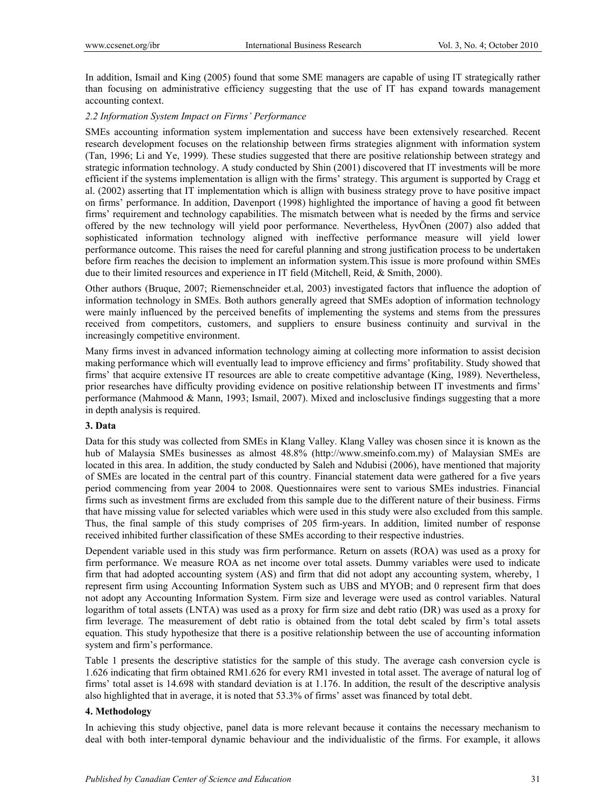In addition, Ismail and King (2005) found that some SME managers are capable of using IT strategically rather than focusing on administrative efficiency suggesting that the use of IT has expand towards management accounting context.

#### *2.2 Information System Impact on Firms' Performance*

SMEs accounting information system implementation and success have been extensively researched. Recent research development focuses on the relationship between firms strategies alignment with information system (Tan, 1996; Li and Ye, 1999). These studies suggested that there are positive relationship between strategy and strategic information technology. A study conducted by Shin (2001) discovered that IT investments will be more efficient if the systems implementation is allign with the firms' strategy. This argument is supported by Cragg et al. (2002) asserting that IT implementation which is allign with business strategy prove to have positive impact on firms' performance. In addition, Davenport (1998) highlighted the importance of having a good fit between firms' requirement and technology capabilities. The mismatch between what is needed by the firms and service offered by the new technology will yield poor performance. Nevertheless, HyvÖnen (2007) also added that sophisticated information technology aligned with ineffective performance measure will yield lower performance outcome. This raises the need for careful planning and strong justification process to be undertaken before firm reaches the decision to implement an information system.This issue is more profound within SMEs due to their limited resources and experience in IT field (Mitchell, Reid, & Smith, 2000).

Other authors (Bruque, 2007; Riemenschneider et.al, 2003) investigated factors that influence the adoption of information technology in SMEs. Both authors generally agreed that SMEs adoption of information technology were mainly influenced by the perceived benefits of implementing the systems and stems from the pressures received from competitors, customers, and suppliers to ensure business continuity and survival in the increasingly competitive environment.

Many firms invest in advanced information technology aiming at collecting more information to assist decision making performance which will eventually lead to improve efficiency and firms' profitability. Study showed that firms' that acquire extensive IT resources are able to create competitive advantage (King, 1989). Nevertheless, prior researches have difficulty providing evidence on positive relationship between IT investments and firms' performance (Mahmood & Mann, 1993; Ismail, 2007). Mixed and inclosclusive findings suggesting that a more in depth analysis is required.

#### **3. Data**

Data for this study was collected from SMEs in Klang Valley. Klang Valley was chosen since it is known as the hub of Malaysia SMEs businesses as almost 48.8% (http://www.smeinfo.com.my) of Malaysian SMEs are located in this area. In addition, the study conducted by Saleh and Ndubisi (2006), have mentioned that majority of SMEs are located in the central part of this country. Financial statement data were gathered for a five years period commencing from year 2004 to 2008. Questionnaires were sent to various SMEs industries. Financial firms such as investment firms are excluded from this sample due to the different nature of their business. Firms that have missing value for selected variables which were used in this study were also excluded from this sample. Thus, the final sample of this study comprises of 205 firm-years. In addition, limited number of response received inhibited further classification of these SMEs according to their respective industries.

Dependent variable used in this study was firm performance. Return on assets (ROA) was used as a proxy for firm performance. We measure ROA as net income over total assets. Dummy variables were used to indicate firm that had adopted accounting system (AS) and firm that did not adopt any accounting system, whereby, 1 represent firm using Accounting Information System such as UBS and MYOB; and 0 represent firm that does not adopt any Accounting Information System. Firm size and leverage were used as control variables. Natural logarithm of total assets (LNTA) was used as a proxy for firm size and debt ratio (DR) was used as a proxy for firm leverage. The measurement of debt ratio is obtained from the total debt scaled by firm's total assets equation. This study hypothesize that there is a positive relationship between the use of accounting information system and firm's performance.

Table 1 presents the descriptive statistics for the sample of this study. The average cash conversion cycle is 1.626 indicating that firm obtained RM1.626 for every RM1 invested in total asset. The average of natural log of firms' total asset is 14.698 with standard deviation is at 1.176. In addition, the result of the descriptive analysis also highlighted that in average, it is noted that 53.3% of firms' asset was financed by total debt.

## **4. Methodology**

In achieving this study objective, panel data is more relevant because it contains the necessary mechanism to deal with both inter-temporal dynamic behaviour and the individualistic of the firms. For example, it allows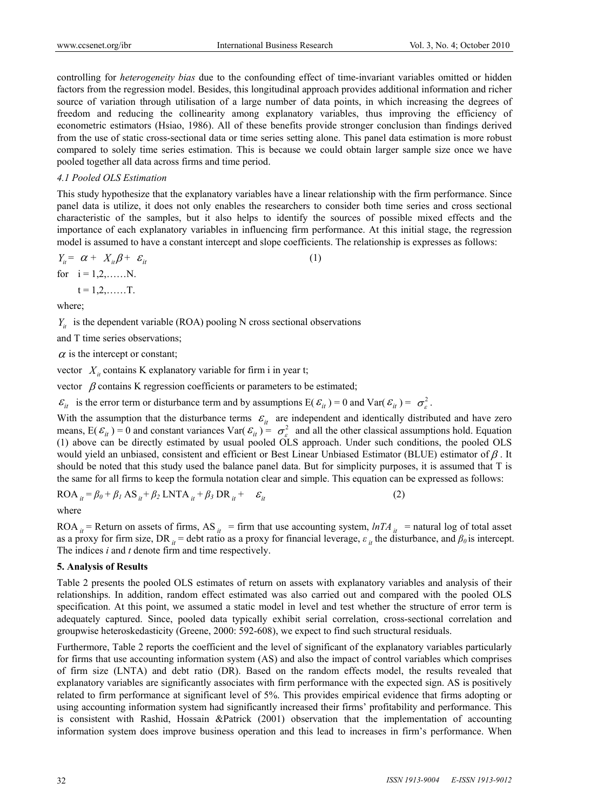controlling for *heterogeneity bias* due to the confounding effect of time-invariant variables omitted or hidden factors from the regression model. Besides, this longitudinal approach provides additional information and richer source of variation through utilisation of a large number of data points, in which increasing the degrees of freedom and reducing the collinearity among explanatory variables, thus improving the efficiency of econometric estimators (Hsiao, 1986). All of these benefits provide stronger conclusion than findings derived from the use of static cross-sectional data or time series setting alone. This panel data estimation is more robust compared to solely time series estimation. This is because we could obtain larger sample size once we have pooled together all data across firms and time period.

## *4.1 Pooled OLS Estimation*

This study hypothesize that the explanatory variables have a linear relationship with the firm performance. Since panel data is utilize, it does not only enables the researchers to consider both time series and cross sectional characteristic of the samples, but it also helps to identify the sources of possible mixed effects and the importance of each explanatory variables in influencing firm performance. At this initial stage, the regression model is assumed to have a constant intercept and slope coefficients. The relationship is expresses as follows:

$$
Y_{ii} = \alpha + X_{ii}\beta + \varepsilon_{it}
$$
  
for  $i = 1, 2, .......N$ .  
 $t = 1, 2, .......T$ . (1)

where;

 $Y_{it}$  is the dependent variable (ROA) pooling N cross sectional observations

and T time series observations;

 $\alpha$  is the intercept or constant;

vector  $X_i$  contains K explanatory variable for firm i in year t;

vector  $\beta$  contains K regression coefficients or parameters to be estimated;

 $\mathcal{E}_{it}$  is the error term or disturbance term and by assumptions  $E(\mathcal{E}_{it}^{\prime}) = 0$  and  $Var(\mathcal{E}_{it}^{\prime}) = \sigma_{\epsilon}^2$ .

With the assumption that the disturbance terms  $\mathcal{E}_{it}$  are independent and identically distributed and have zero means,  $E(\varepsilon_{it}) = 0$  and constant variances  $Var(\varepsilon_{it}) = \sigma_{\varepsilon}^2$  and all the other classical assumptions hold. Equation (1) above can be directly estimated by usual pooled OLS approach. Under such conditions, the pooled OLS would yield an unbiased, consistent and efficient or Best Linear Unbiased Estimator (BLUE) estimator of  $\beta$ . It should be noted that this study used the balance panel data. But for simplicity purposes, it is assumed that T is the same for all firms to keep the formula notation clear and simple. This equation can be expressed as follows:

$$
ROA_{it} = \beta_0 + \beta_1 AS_{it} + \beta_2 LNTA_{it} + \beta_3 DR_{it} + \varepsilon_{it}
$$
 (2)

where

ROA  $_i$  = Return on assets of firms, AS  $_i$  = firm that use accounting system,  $lnTA$   $_i$  = natural log of total asset as a proxy for firm size, DR<sub>*it*</sub> = debt ratio as a proxy for financial leverage,  $\varepsilon_i$  the disturbance, and  $\beta_0$  is intercept. The indices *i* and *t* denote firm and time respectively.

# **5. Analysis of Results**

Table 2 presents the pooled OLS estimates of return on assets with explanatory variables and analysis of their relationships. In addition, random effect estimated was also carried out and compared with the pooled OLS specification. At this point, we assumed a static model in level and test whether the structure of error term is adequately captured. Since, pooled data typically exhibit serial correlation, cross-sectional correlation and groupwise heteroskedasticity (Greene, 2000: 592-608), we expect to find such structural residuals.

Furthermore, Table 2 reports the coefficient and the level of significant of the explanatory variables particularly for firms that use accounting information system (AS) and also the impact of control variables which comprises of firm size (LNTA) and debt ratio (DR). Based on the random effects model, the results revealed that explanatory variables are significantly associates with firm performance with the expected sign. AS is positively related to firm performance at significant level of 5%. This provides empirical evidence that firms adopting or using accounting information system had significantly increased their firms' profitability and performance. This is consistent with Rashid, Hossain &Patrick (2001) observation that the implementation of accounting information system does improve business operation and this lead to increases in firm's performance. When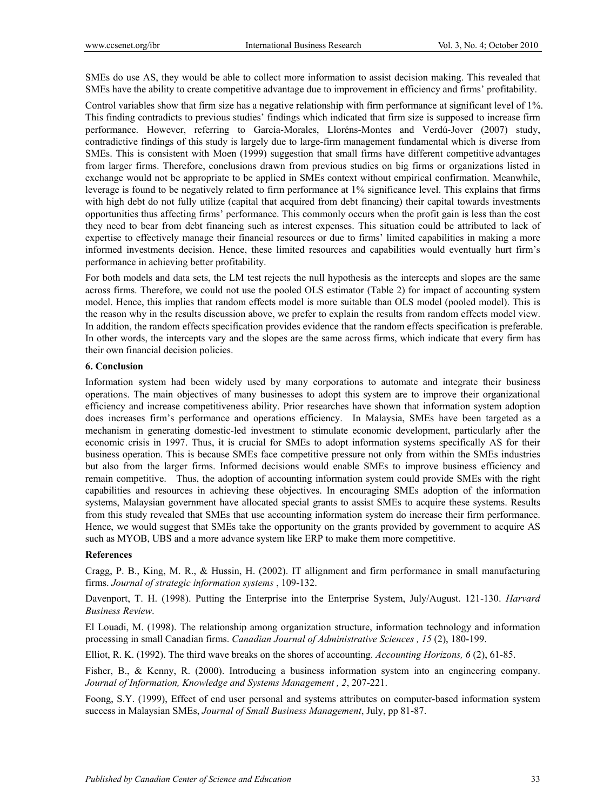SMEs do use AS, they would be able to collect more information to assist decision making. This revealed that SMEs have the ability to create competitive advantage due to improvement in efficiency and firms' profitability.

Control variables show that firm size has a negative relationship with firm performance at significant level of 1%. This finding contradicts to previous studies' findings which indicated that firm size is supposed to increase firm performance. However, referring to García-Morales, Lloréns-Montes and Verdú-Jover (2007) study, contradictive findings of this study is largely due to large-firm management fundamental which is diverse from SMEs. This is consistent with Moen (1999) suggestion that small firms have different competitive advantages from larger firms. Therefore, conclusions drawn from previous studies on big firms or organizations listed in exchange would not be appropriate to be applied in SMEs context without empirical confirmation. Meanwhile, leverage is found to be negatively related to firm performance at 1% significance level. This explains that firms with high debt do not fully utilize (capital that acquired from debt financing) their capital towards investments opportunities thus affecting firms' performance. This commonly occurs when the profit gain is less than the cost they need to bear from debt financing such as interest expenses. This situation could be attributed to lack of expertise to effectively manage their financial resources or due to firms' limited capabilities in making a more informed investments decision. Hence, these limited resources and capabilities would eventually hurt firm's performance in achieving better profitability.

For both models and data sets, the LM test rejects the null hypothesis as the intercepts and slopes are the same across firms. Therefore, we could not use the pooled OLS estimator (Table 2) for impact of accounting system model. Hence, this implies that random effects model is more suitable than OLS model (pooled model). This is the reason why in the results discussion above, we prefer to explain the results from random effects model view. In addition, the random effects specification provides evidence that the random effects specification is preferable. In other words, the intercepts vary and the slopes are the same across firms, which indicate that every firm has their own financial decision policies.

# **6. Conclusion**

Information system had been widely used by many corporations to automate and integrate their business operations. The main objectives of many businesses to adopt this system are to improve their organizational efficiency and increase competitiveness ability. Prior researches have shown that information system adoption does increases firm's performance and operations efficiency. In Malaysia, SMEs have been targeted as a mechanism in generating domestic-led investment to stimulate economic development, particularly after the economic crisis in 1997. Thus, it is crucial for SMEs to adopt information systems specifically AS for their business operation. This is because SMEs face competitive pressure not only from within the SMEs industries but also from the larger firms. Informed decisions would enable SMEs to improve business efficiency and remain competitive. Thus, the adoption of accounting information system could provide SMEs with the right capabilities and resources in achieving these objectives. In encouraging SMEs adoption of the information systems, Malaysian government have allocated special grants to assist SMEs to acquire these systems. Results from this study revealed that SMEs that use accounting information system do increase their firm performance. Hence, we would suggest that SMEs take the opportunity on the grants provided by government to acquire AS such as MYOB, UBS and a more advance system like ERP to make them more competitive.

# **References**

Cragg, P. B., King, M. R., & Hussin, H. (2002). IT allignment and firm performance in small manufacturing firms. *Journal of strategic information systems* , 109-132.

Davenport, T. H. (1998). Putting the Enterprise into the Enterprise System, July/August. 121-130. *Harvard Business Review*.

El Louadi, M. (1998). The relationship among organization structure, information technology and information processing in small Canadian firms. *Canadian Journal of Administrative Sciences , 15* (2), 180-199.

Elliot, R. K. (1992). The third wave breaks on the shores of accounting. *Accounting Horizons, 6* (2), 61-85.

Fisher, B., & Kenny, R. (2000). Introducing a business information system into an engineering company. *Journal of Information, Knowledge and Systems Management , 2*, 207-221.

Foong, S.Y. (1999), Effect of end user personal and systems attributes on computer-based information system success in Malaysian SMEs, *Journal of Small Business Management*, July, pp 81-87.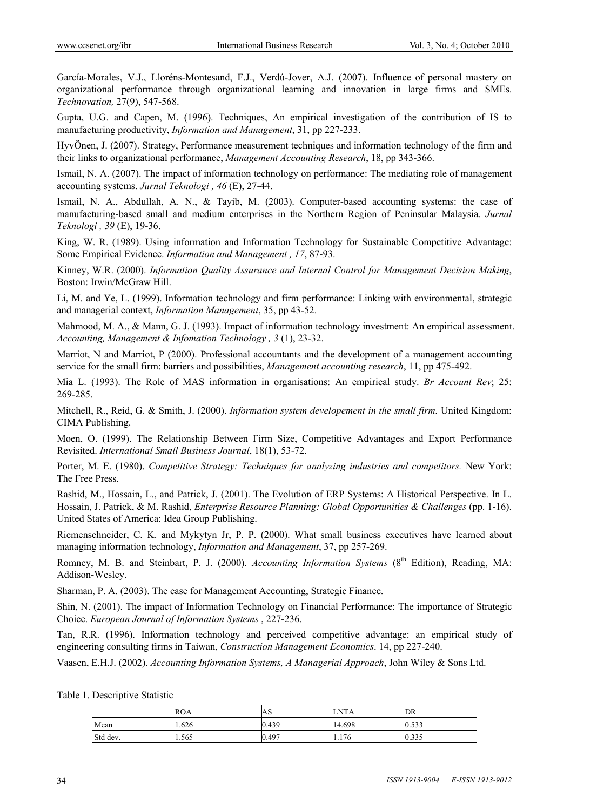García-Morales, V.J., Lloréns-Montesand, F.J., Verdú-Jover, A.J. (2007). Influence of personal mastery on organizational performance through organizational learning and innovation in large firms and SMEs. *Technovation,* 27(9), 547-568.

Gupta, U.G. and Capen, M. (1996). Techniques, An empirical investigation of the contribution of IS to manufacturing productivity, *Information and Management*, 31, pp 227-233.

HyvÖnen, J. (2007). Strategy, Performance measurement techniques and information technology of the firm and their links to organizational performance, *Management Accounting Research*, 18, pp 343-366.

Ismail, N. A. (2007). The impact of information technology on performance: The mediating role of management accounting systems. *Jurnal Teknologi , 46* (E), 27-44.

Ismail, N. A., Abdullah, A. N., & Tayib, M. (2003). Computer-based accounting systems: the case of manufacturing-based small and medium enterprises in the Northern Region of Peninsular Malaysia. *Jurnal Teknologi , 39* (E), 19-36.

King, W. R. (1989). Using information and Information Technology for Sustainable Competitive Advantage: Some Empirical Evidence. *Information and Management , 17*, 87-93.

Kinney, W.R. (2000). *Information Quality Assurance and Internal Control for Management Decision Making*, Boston: Irwin/McGraw Hill.

Li, M. and Ye, L. (1999). Information technology and firm performance: Linking with environmental, strategic and managerial context, *Information Management*, 35, pp 43-52.

Mahmood, M. A., & Mann, G. J. (1993). Impact of information technology investment: An empirical assessment. *Accounting, Management & Infomation Technology , 3* (1), 23-32.

Marriot, N and Marriot, P (2000). Professional accountants and the development of a management accounting service for the small firm: barriers and possibilities, *Management accounting research*, 11, pp 475-492.

Mia L. (1993). The Role of MAS information in organisations: An empirical study. *Br Account Rev*; 25: 269-285.

Mitchell, R., Reid, G. & Smith, J. (2000). *Information system developement in the small firm.* United Kingdom: CIMA Publishing.

Moen, O. (1999). The Relationship Between Firm Size, Competitive Advantages and Export Performance Revisited. *International Small Business Journal*, 18(1), 53-72.

Porter, M. E. (1980). *Competitive Strategy: Techniques for analyzing industries and competitors.* New York: The Free Press.

Rashid, M., Hossain, L., and Patrick, J. (2001). The Evolution of ERP Systems: A Historical Perspective. In L. Hossain, J. Patrick, & M. Rashid, *Enterprise Resource Planning: Global Opportunities & Challenges* (pp. 1-16). United States of America: Idea Group Publishing.

Riemenschneider, C. K. and Mykytyn Jr, P. P. (2000). What small business executives have learned about managing information technology, *Information and Management*, 37, pp 257-269.

Romney, M. B. and Steinbart, P. J. (2000). *Accounting Information Systems* (8<sup>th</sup> Edition), Reading, MA: Addison-Wesley.

Sharman, P. A. (2003). The case for Management Accounting, Strategic Finance.

Shin, N. (2001). The impact of Information Technology on Financial Performance: The importance of Strategic Choice. *European Journal of Information Systems* , 227-236.

Tan, R.R. (1996). Information technology and perceived competitive advantage: an empirical study of engineering consulting firms in Taiwan, *Construction Management Economics*. 14, pp 227-240.

Vaasen, E.H.J. (2002). *Accounting Information Systems, A Managerial Approach*, John Wiley & Sons Ltd.

Table 1. Descriptive Statistic

|          | <b>ROA</b> | $\Omega$<br>АS | <b>LNTA</b> | DR    |
|----------|------------|----------------|-------------|-------|
| Mean     | 1.626      | 0.439          | 14.698      | 0.533 |
| Std dev. | 1.565      | 0.497          | 1.176       | 0.335 |